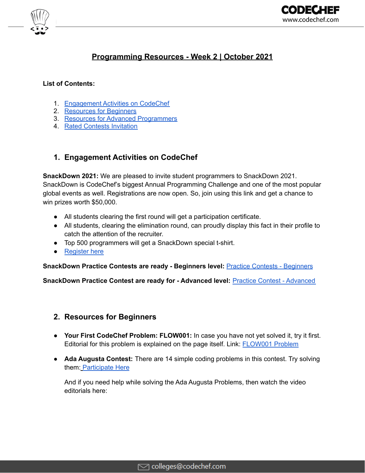

# **Programming Resources - Week 2 | October 2021**

### **List of Contents:**

- 1. [Engagement](#page-0-0) Activities on CodeChef
- 2. [Resources](#page-0-1) for Beginners
- 3. Resources for Advanced [Programmers](#page-1-0)
- 4. Rated Contests Invitation

# <span id="page-0-0"></span>**1. Engagement Activities on CodeChef**

**SnackDown 2021:** We are pleased to invite student programmers to SnackDown 2021. SnackDown is CodeChef's biggest Annual Programming Challenge and one of the most popular global events as well. Registrations are now open. So, join using this link and get a chance to win prizes worth \$50,000.

- All students clearing the first round will get a participation certificate.
- All students, clearing the elimination round, can proudly display this fact in their profile to catch the attention of the recruiter.
- Top 500 programmers will get a SnackDown special t-shirt.
- [Register](https://snackdown.codechef.com/registration?utm_source=email&utm_medium=outreach&utm_campaign=CC_SnackDown_2021) here

**SnackDown Practice Contests are ready - Beginners level:** Practice Contests - [Beginners](https://www.codechef.com/SDPCB21?utm_source=email&utm_medium=outreach&utm_campaign=CC_SnackDown_2021)

**SnackDown Practice Contest are ready for - Advanced level:** Practice Contest - [Advanced](https://www.codechef.com/SDPCA21?utm_source=email&utm_medium=outreach&utm_campaign=CC_SnackDown_2021)

# <span id="page-0-1"></span>**2. Resources for Beginners**

- **Your First CodeChef Problem: FLOW001:** In case you have not yet solved it, try it first. Editorial for this problem is explained on the page itself. Link: [FLOW001](https://www.codechef.com/problems/FLOW001?utm_source=email&utm_medium=outreach&utm_campaign=CC_Contests) Problem
- **Ada Augusta Contest:** There are 14 simple coding problems in this contest. Try solving them: [Participate](https://www.codechef.com/CCADAAUG?utm_source=email&utm_medium=outreach&utm_campaign=Augusta) Here

And if you need help while solving the Ada Augusta Problems, then watch the video editorials here: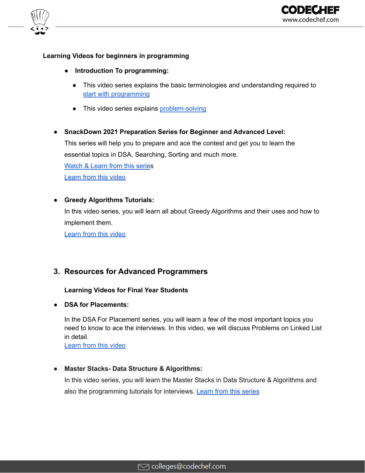



### **Learning Videos for beginners in programming**

- **● Introduction To programming:**
	- This video series explains the basic terminologies and understanding required to start with [programming](https://youtube.com/playlist?list=PLQXZIFwMtjowmOYVEIxMBHNLm9nm8QwjL)
	- This video series explains [problem-solving](https://bit.ly/3kTI1ft)
- **● SnackDown 2021 Preparation Series for Beginner and Advanced Level:**

This series will help you to prepare and ace the contest and get you to learn the essential topics in DSA, Searching, Sorting and much more.

[Watch](https://bit.ly/3mbXVBd) & Learn from this series [Learn](https://youtu.be/x3M4XABvvjs) from this video

## **● Greedy Algorithms Tutorials:**

In this video series, you will learn all about Greedy Algorithms and their uses and how to implement them.

<span id="page-1-0"></span>[Learn](https://youtube.com/playlist?list=PLQXZIFwMtjoz-lIU4qaIHb-gKt46QHdNj) from this video

# **3. Resources for Advanced Programmers**

#### **Learning Videos for Final Year Students**

**● DSA for Placements:**

In the DSA For Placement series, you will learn a few of the most important topics you need to know to ace the interviews. In this video, we will discuss Problems on Linked List in detail.

[Learn](https://bit.ly/3zUgPRY) from this video

#### **● Master Stacks- Data Structure & Algorithms:**

In this video series, you will learn the Master Stacks in Data Structure & Algorithms and also the programming tutorials for interviews. Learn from this [series](https://youtube.com/playlist?list=PLQXZIFwMtjoxEQIfFOKAk3qc5vKjBb-5h)